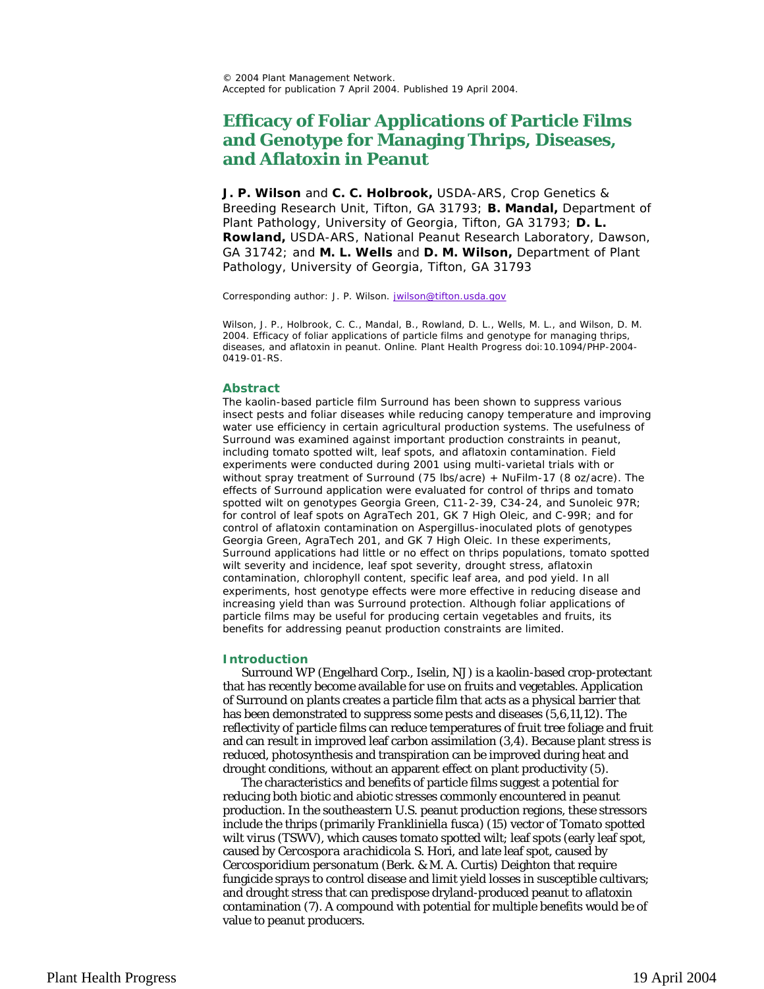© 2004 Plant Management Network. Accepted for publication 7 April 2004. Published 19 April 2004.

# **Efficacy of Foliar Applications of Particle Films and Genotype for Managing Thrips, Diseases, and Aflatoxin in Peanut**

**J. P. Wilson** and **C. C. Holbrook,** USDA-ARS, Crop Genetics & Breeding Research Unit, Tifton, GA 31793; **B. Mandal,** Department of Plant Pathology, University of Georgia, Tifton, GA 31793; **D. L. Rowland,** USDA-ARS, National Peanut Research Laboratory, Dawson, GA 31742; and **M. L. Wells** and **D. M. Wilson,** Department of Plant Pathology, University of Georgia, Tifton, GA 31793

Corresponding author: J. P. Wilson. jwilson@tifton.usda.gov

Wilson, J. P., Holbrook, C. C., Mandal, B., Rowland, D. L., Wells, M. L., and Wilson, D. M. 2004. Efficacy of foliar applications of particle films and genotype for managing thrips, diseases, and aflatoxin in peanut. Online. Plant Health Progress doi:10.1094/PHP-2004- 0419-01-RS.

#### **Abstract**

The kaolin-based particle film Surround has been shown to suppress various insect pests and foliar diseases while reducing canopy temperature and improving water use efficiency in certain agricultural production systems. The usefulness of Surround was examined against important production constraints in peanut, including tomato spotted wilt, leaf spots, and aflatoxin contamination. Field experiments were conducted during 2001 using multi-varietal trials with or without spray treatment of Surround (75 lbs/acre) + NuFilm-17 (8 oz/acre). The effects of Surround application were evaluated for control of thrips and tomato spotted wilt on genotypes Georgia Green, C11-2-39, C34-24, and Sunoleic 97R; for control of leaf spots on AgraTech 201, GK 7 High Oleic, and C-99R; and for control of aflatoxin contamination on *Aspergillus*-inoculated plots of genotypes Georgia Green, AgraTech 201, and GK 7 High Oleic. In these experiments, Surround applications had little or no effect on thrips populations, tomato spotted wilt severity and incidence, leaf spot severity, drought stress, aflatoxin contamination, chlorophyll content, specific leaf area, and pod yield. In all experiments, host genotype effects were more effective in reducing disease and increasing yield than was Surround protection. Although foliar applications of particle films may be useful for producing certain vegetables and fruits, its benefits for addressing peanut production constraints are limited.

#### **Introduction**

Surround WP (Engelhard Corp., Iselin, NJ) is a kaolin-based crop-protectant that has recently become available for use on fruits and vegetables. Application of Surround on plants creates a particle film that acts as a physical barrier that has been demonstrated to suppress some pests and diseases (5,6,11,12). The reflectivity of particle films can reduce temperatures of fruit tree foliage and fruit and can result in improved leaf carbon assimilation (3,4). Because plant stress is reduced, photosynthesis and transpiration can be improved during heat and drought conditions, without an apparent effect on plant productivity (5).

The characteristics and benefits of particle films suggest a potential for reducing both biotic and abiotic stresses commonly encountered in peanut production. In the southeastern U.S. peanut production regions, these stressors include the thrips (primarily *Frankliniella fusca*) (15) vector of *Tomato spotted wilt virus* (TSWV), which causes tomato spotted wilt; leaf spots (early leaf spot, caused by *Cercospora arachidicola* S. Hori, and late leaf spot, caused by *Cercosporidium personatum* (Berk. & M. A. Curtis) Deighton that require fungicide sprays to control disease and limit yield losses in susceptible cultivars; and drought stress that can predispose dryland-produced peanut to aflatoxin contamination (7). A compound with potential for multiple benefits would be of value to peanut producers.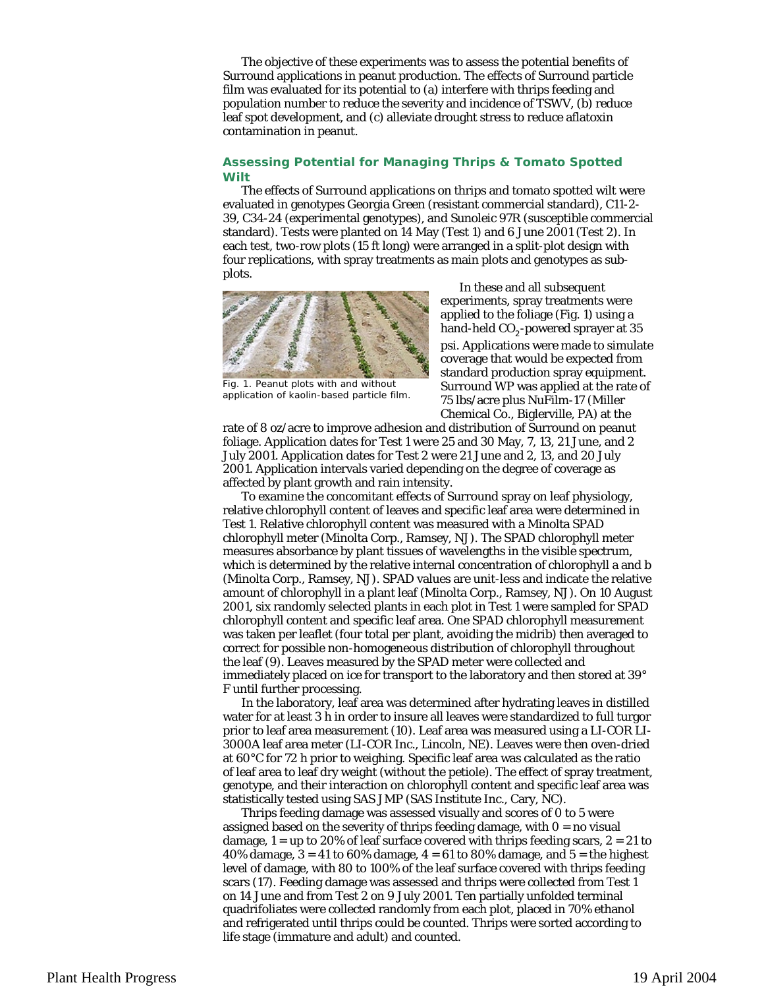The objective of these experiments was to assess the potential benefits of Surround applications in peanut production. The effects of Surround particle film was evaluated for its potential to (a) interfere with thrips feeding and population number to reduce the severity and incidence of TSWV, (b) reduce leaf spot development, and (c) alleviate drought stress to reduce aflatoxin contamination in peanut.

## **Assessing Potential for Managing Thrips & Tomato Spotted Wilt**

The effects of Surround applications on thrips and tomato spotted wilt were evaluated in genotypes Georgia Green (resistant commercial standard), C11-2- 39, C34-24 (experimental genotypes), and Sunoleic 97R (susceptible commercial standard). Tests were planted on 14 May (Test 1) and 6 June 2001 (Test 2). In each test, two-row plots (15 ft long) were arranged in a split-plot design with four replications, with spray treatments as main plots and genotypes as subplots.



Fig. 1. Peanut plots with and without application of kaolin-based particle film.

In these and all subsequent experiments, spray treatments were applied to the foliage (Fig. 1) using a hand-held  $CO<sub>2</sub>$ -powered sprayer at 35 psi. Applications were made to simulate coverage that would be expected from standard production spray equipment. Surround WP was applied at the rate of 75 lbs/acre plus NuFilm-17 (Miller Chemical Co., Biglerville, PA) at the

rate of 8 oz/acre to improve adhesion and distribution of Surround on peanut foliage. Application dates for Test 1 were 25 and 30 May, 7, 13, 21 June, and 2 July 2001. Application dates for Test 2 were 21 June and 2, 13, and 20 July 2001. Application intervals varied depending on the degree of coverage as affected by plant growth and rain intensity.

To examine the concomitant effects of Surround spray on leaf physiology, relative chlorophyll content of leaves and specific leaf area were determined in Test 1. Relative chlorophyll content was measured with a Minolta SPAD chlorophyll meter (Minolta Corp., Ramsey, NJ). The SPAD chlorophyll meter measures absorbance by plant tissues of wavelengths in the visible spectrum, which is determined by the relative internal concentration of chlorophyll a and b (Minolta Corp., Ramsey, NJ). SPAD values are unit-less and indicate the relative amount of chlorophyll in a plant leaf (Minolta Corp., Ramsey, NJ). On 10 August 2001, six randomly selected plants in each plot in Test 1 were sampled for SPAD chlorophyll content and specific leaf area. One SPAD chlorophyll measurement was taken per leaflet (four total per plant, avoiding the midrib) then averaged to correct for possible non-homogeneous distribution of chlorophyll throughout the leaf (9). Leaves measured by the SPAD meter were collected and immediately placed on ice for transport to the laboratory and then stored at 39° F until further processing.

In the laboratory, leaf area was determined after hydrating leaves in distilled water for at least 3 h in order to insure all leaves were standardized to full turgor prior to leaf area measurement (10). Leaf area was measured using a LI-COR LI-3000A leaf area meter (LI-COR Inc., Lincoln, NE). Leaves were then oven-dried at 60°C for 72 h prior to weighing. Specific leaf area was calculated as the ratio of leaf area to leaf dry weight (without the petiole). The effect of spray treatment, genotype, and their interaction on chlorophyll content and specific leaf area was statistically tested using SAS JMP (SAS Institute Inc., Cary, NC).

Thrips feeding damage was assessed visually and scores of 0 to 5 were assigned based on the severity of thrips feeding damage, with  $0 =$  no visual damage,  $1 =$  up to 20% of leaf surface covered with thrips feeding scars,  $2 = 21$  to 40% damage,  $3 = 41$  to 60% damage,  $4 = 61$  to 80% damage, and  $5 =$  the highest level of damage, with 80 to 100% of the leaf surface covered with thrips feeding scars (17). Feeding damage was assessed and thrips were collected from Test 1 on 14 June and from Test 2 on 9 July 2001. Ten partially unfolded terminal quadrifoliates were collected randomly from each plot, placed in 70% ethanol and refrigerated until thrips could be counted. Thrips were sorted according to life stage (immature and adult) and counted.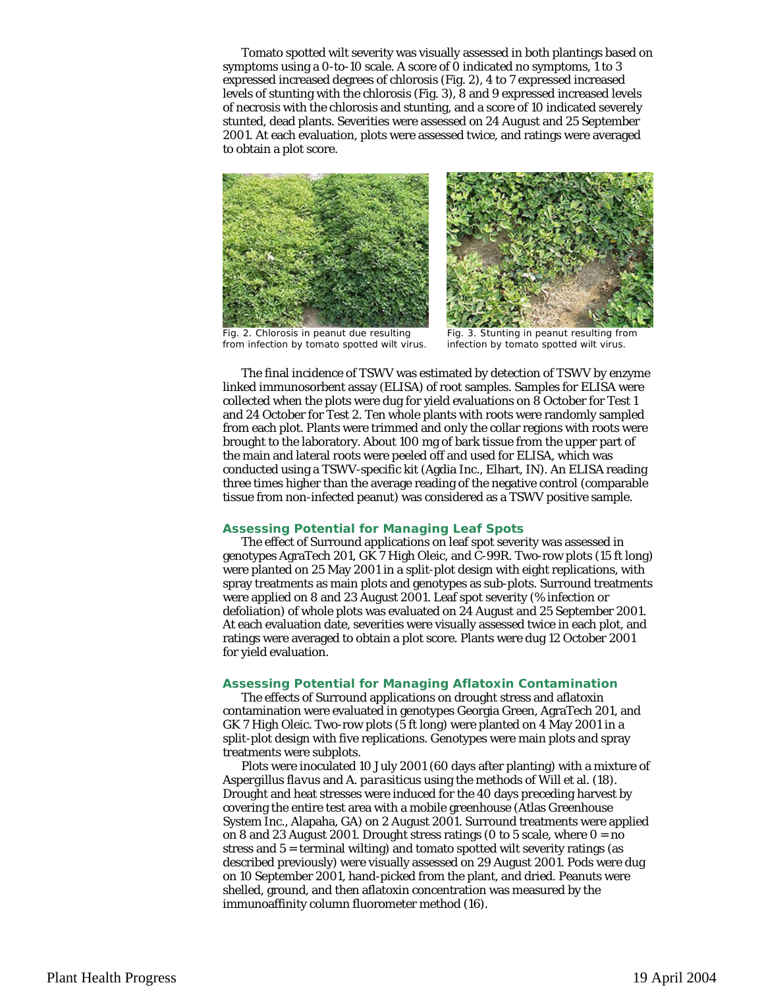Tomato spotted wilt severity was visually assessed in both plantings based on symptoms using a 0-to-10 scale. A score of 0 indicated no symptoms, 1 to 3 expressed increased degrees of chlorosis (Fig. 2), 4 to 7 expressed increased levels of stunting with the chlorosis (Fig. 3), 8 and 9 expressed increased levels of necrosis with the chlorosis and stunting, and a score of 10 indicated severely stunted, dead plants. Severities were assessed on 24 August and 25 September 2001. At each evaluation, plots were assessed twice, and ratings were averaged to obtain a plot score.





Fig. 2. Chlorosis in peanut due resulting from infection by tomato spotted wilt virus.

Fig. 3. Stunting in peanut resulting from infection by tomato spotted wilt virus.

The final incidence of TSWV was estimated by detection of TSWV by enzyme linked immunosorbent assay (ELISA) of root samples. Samples for ELISA were collected when the plots were dug for yield evaluations on 8 October for Test 1 and 24 October for Test 2. Ten whole plants with roots were randomly sampled from each plot. Plants were trimmed and only the collar regions with roots were brought to the laboratory. About 100 mg of bark tissue from the upper part of the main and lateral roots were peeled off and used for ELISA, which was conducted using a TSWV-specific kit (Agdia Inc., Elhart, IN). An ELISA reading three times higher than the average reading of the negative control (comparable tissue from non-infected peanut) was considered as a TSWV positive sample.

## **Assessing Potential for Managing Leaf Spots**

The effect of Surround applications on leaf spot severity was assessed in genotypes AgraTech 201, GK 7 High Oleic, and C-99R. Two-row plots (15 ft long) were planted on 25 May 2001 in a split-plot design with eight replications, with spray treatments as main plots and genotypes as sub-plots. Surround treatments were applied on 8 and 23 August 2001. Leaf spot severity (% infection or defoliation) of whole plots was evaluated on 24 August and 25 September 2001. At each evaluation date, severities were visually assessed twice in each plot, and ratings were averaged to obtain a plot score. Plants were dug 12 October 2001 for yield evaluation.

### **Assessing Potential for Managing Aflatoxin Contamination**

The effects of Surround applications on drought stress and aflatoxin contamination were evaluated in genotypes Georgia Green, AgraTech 201, and GK 7 High Oleic. Two-row plots (5 ft long) were planted on 4 May 2001 in a split-plot design with five replications. Genotypes were main plots and spray treatments were subplots.

Plots were inoculated 10 July 2001 (60 days after planting) with a mixture of *Aspergillus flavus* and *A. parasiticus* using the methods of Will et al. (18). Drought and heat stresses were induced for the 40 days preceding harvest by covering the entire test area with a mobile greenhouse (Atlas Greenhouse System Inc., Alapaha, GA) on 2 August 2001. Surround treatments were applied on 8 and 23 August 2001. Drought stress ratings (0 to 5 scale, where  $0 = no$ stress and 5 = terminal wilting) and tomato spotted wilt severity ratings (as described previously) were visually assessed on 29 August 2001. Pods were dug on 10 September 2001, hand-picked from the plant, and dried. Peanuts were shelled, ground, and then aflatoxin concentration was measured by the immunoaffinity column fluorometer method (16).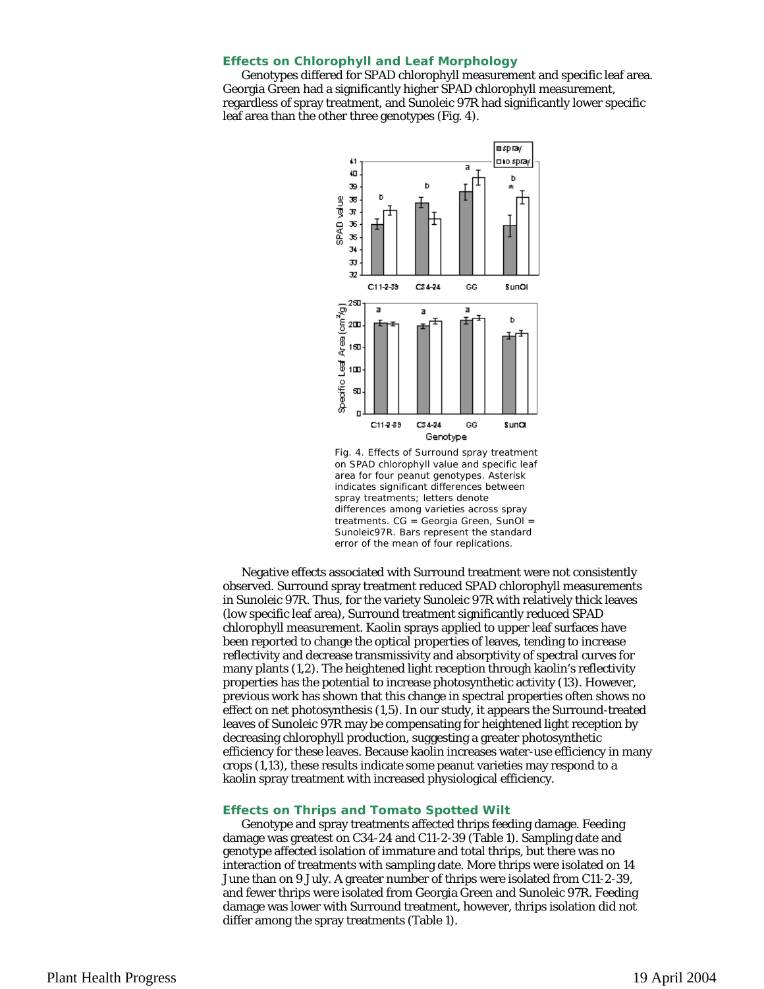#### **Effects on Chlorophyll and Leaf Morphology**

Genotypes differed for SPAD chlorophyll measurement and specific leaf area. Georgia Green had a significantly higher SPAD chlorophyll measurement, regardless of spray treatment, and Sunoleic 97R had significantly lower specific leaf area than the other three genotypes (Fig. 4).



Fig. 4. Effects of Surround spray treatment on SPAD chlorophyll value and specific leaf area for four peanut genotypes. Asterisk indicates significant differences between spray treatments; letters denote differences among varieties across spray treatments. CG = Georgia Green, SunOl = Sunoleic97R. Bars represent the standard error of the mean of four replications.

Negative effects associated with Surround treatment were not consistently observed. Surround spray treatment reduced SPAD chlorophyll measurements in Sunoleic 97R. Thus, for the variety Sunoleic 97R with relatively thick leaves (low specific leaf area), Surround treatment significantly reduced SPAD chlorophyll measurement. Kaolin sprays applied to upper leaf surfaces have been reported to change the optical properties of leaves, tending to increase reflectivity and decrease transmissivity and absorptivity of spectral curves for many plants (1,2). The heightened light reception through kaolin's reflectivity properties has the potential to increase photosynthetic activity (13). However, previous work has shown that this change in spectral properties often shows no effect on net photosynthesis (1,5). In our study, it appears the Surround-treated leaves of Sunoleic 97R may be compensating for heightened light reception by decreasing chlorophyll production, suggesting a greater photosynthetic efficiency for these leaves. Because kaolin increases water-use efficiency in many crops (1,13), these results indicate some peanut varieties may respond to a kaolin spray treatment with increased physiological efficiency.

#### **Effects on Thrips and Tomato Spotted Wilt**

Genotype and spray treatments affected thrips feeding damage. Feeding damage was greatest on C34-24 and C11-2-39 (Table 1). Sampling date and genotype affected isolation of immature and total thrips, but there was no interaction of treatments with sampling date. More thrips were isolated on 14 June than on 9 July. A greater number of thrips were isolated from C11-2-39, and fewer thrips were isolated from Georgia Green and Sunoleic 97R. Feeding damage was lower with Surround treatment, however, thrips isolation did not differ among the spray treatments (Table 1).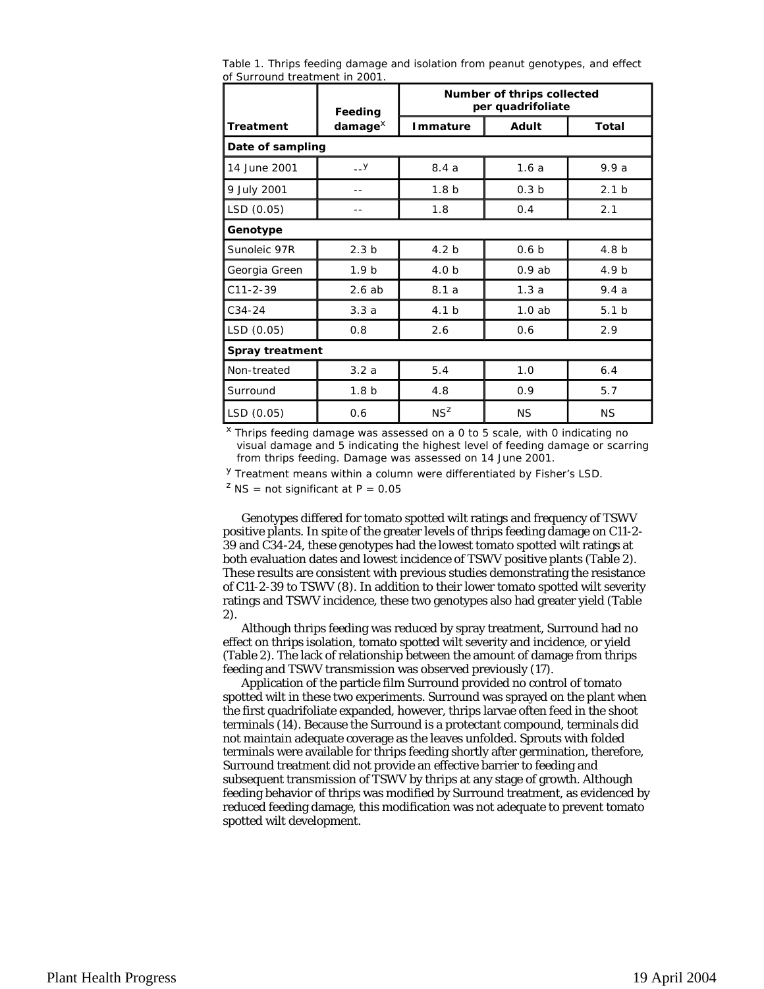Table 1. Thrips feeding damage and isolation from peanut genotypes, and effect of Surround treatment in 2001.

|                 | Feeding<br>$d$ amage $^{\chi}$ | Number of thrips collected<br>per quadrifoliate |                  |                  |  |  |
|-----------------|--------------------------------|-------------------------------------------------|------------------|------------------|--|--|
| Treatment       |                                | Immature                                        | Adult            | Total            |  |  |
|                 | Date of sampling               |                                                 |                  |                  |  |  |
| 14 June 2001    | $-1$                           | 8.4a                                            | 1.6a             | 9.9a             |  |  |
| 9 July 2001     |                                | 1.8 <sub>b</sub>                                | 0.3 <sub>b</sub> | 2.1 <sub>b</sub> |  |  |
| LSD (0.05)      |                                | 1.8                                             | 0.4              | 2.1              |  |  |
| Genotype        |                                |                                                 |                  |                  |  |  |
| Sunoleic 97R    | 2.3 <sub>b</sub>               | 4.2 <sub>b</sub>                                | 0.6 <sub>b</sub> | 4.8 <sub>b</sub> |  |  |
| Georgia Green   | 1.9 <sub>b</sub>               | 4.0 <sub>b</sub>                                | 0.9ab            | 4.9 <sub>b</sub> |  |  |
| $C11 - 2 - 39$  | 2.6ab                          | 8.1a                                            | 1.3a             | 9.4a             |  |  |
| $C34-24$        | 3.3a                           | 4.1 <sub>b</sub>                                | 1.0ab            | 5.1 <sub>b</sub> |  |  |
| LSD (0.05)      | 0.8                            | 2.6                                             | 0.6              | 2.9              |  |  |
| Spray treatment |                                |                                                 |                  |                  |  |  |
| Non-treated     | 3.2a                           | 5.4                                             | 1.0              | 6.4              |  |  |
| Surround        | 1.8 <sub>b</sub>               | 4.8                                             | 0.9              | 5.7              |  |  |
| LSD (0.05)      | 0.6                            | $NS^Z$                                          | <b>NS</b>        | <b>NS</b>        |  |  |

 $x$  Thrips feeding damage was assessed on a 0 to 5 scale, with 0 indicating no visual damage and 5 indicating the highest level of feeding damage or scarring from thrips feeding. Damage was assessed on 14 June 2001.

y Treatment means within a column were differentiated by Fisher's LSD.

<sup>2</sup> NS = not significant at  $P = 0.05$ 

Genotypes differed for tomato spotted wilt ratings and frequency of TSWV positive plants. In spite of the greater levels of thrips feeding damage on C11-2- 39 and C34-24, these genotypes had the lowest tomato spotted wilt ratings at both evaluation dates and lowest incidence of TSWV positive plants (Table 2). These results are consistent with previous studies demonstrating the resistance of C11-2-39 to TSWV (8). In addition to their lower tomato spotted wilt severity ratings and TSWV incidence, these two genotypes also had greater yield (Table 2).

Although thrips feeding was reduced by spray treatment, Surround had no effect on thrips isolation, tomato spotted wilt severity and incidence, or yield (Table 2). The lack of relationship between the amount of damage from thrips feeding and TSWV transmission was observed previously (17).

Application of the particle film Surround provided no control of tomato spotted wilt in these two experiments. Surround was sprayed on the plant when the first quadrifoliate expanded, however, thrips larvae often feed in the shoot terminals (14). Because the Surround is a protectant compound, terminals did not maintain adequate coverage as the leaves unfolded. Sprouts with folded terminals were available for thrips feeding shortly after germination, therefore, Surround treatment did not provide an effective barrier to feeding and subsequent transmission of TSWV by thrips at any stage of growth. Although feeding behavior of thrips was modified by Surround treatment, as evidenced by reduced feeding damage, this modification was not adequate to prevent tomato spotted wilt development.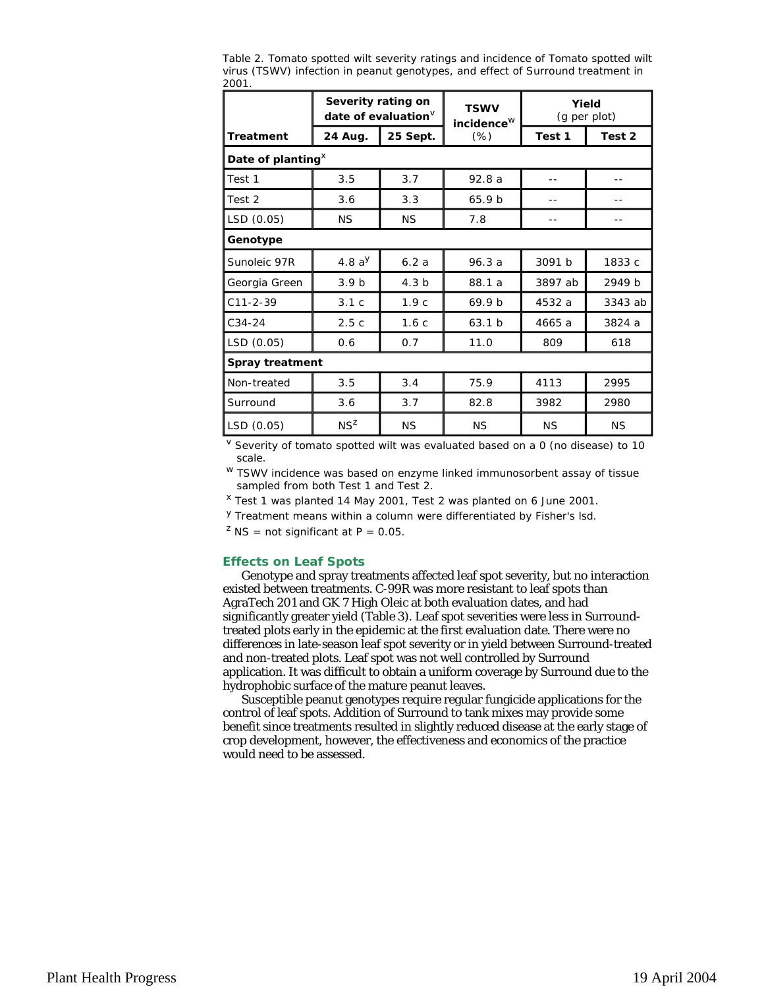|                       | Severity rating on<br>date of evaluation $V$ |                  | <b>TSWV</b><br>incidence <sup>W</sup> | Yield<br>(g per plot) |           |  |  |
|-----------------------|----------------------------------------------|------------------|---------------------------------------|-----------------------|-----------|--|--|
| Treatment             | 24 Aug.                                      | 25 Sept.         | $(\%)$                                | Test 1                | Test 2    |  |  |
| Date of planting $^x$ |                                              |                  |                                       |                       |           |  |  |
| Test 1                | 3.5                                          | 3.7              | 92.8a                                 |                       |           |  |  |
| Test 2                | 3.6                                          | 3.3              | 65.9 <sub>b</sub>                     |                       |           |  |  |
| LSD (0.05)            | <b>NS</b>                                    | <b>NS</b>        | 7.8                                   |                       |           |  |  |
| Genotype              |                                              |                  |                                       |                       |           |  |  |
| Sunoleic 97R          | 4.8 $a^{y}$                                  | 6.2a             | 96.3a                                 | 3091 b                | 1833 c    |  |  |
| Georgia Green         | 3.9 <sub>b</sub>                             | 4.3 <sub>b</sub> | 88.1 a                                | 3897 ab               | 2949 b    |  |  |
| $C11 - 2 - 39$        | 3.1c                                         | 1.9c             | 69.9 <sub>b</sub>                     | 4532 a                | 3343 ab   |  |  |
| $C34-24$              | 2.5c                                         | 1.6c             | 63.1 b                                | 4665 a                | 3824 a    |  |  |
| LSD (0.05)            | 0.6                                          | 0.7              | 11.0                                  | 809                   | 618       |  |  |
| Spray treatment       |                                              |                  |                                       |                       |           |  |  |
| Non-treated           | 3.5                                          | 3.4              | 75.9                                  | 4113                  | 2995      |  |  |
| Surround              | 3.6                                          | 3.7              | 82.8                                  | 3982                  | 2980      |  |  |
| LSD (0.05)            | $NS^Z$                                       | <b>NS</b>        | <b>NS</b>                             | <b>NS</b>             | <b>NS</b> |  |  |

Table 2. Tomato spotted wilt severity ratings and incidence of Tomato spotted wilt virus (TSWV) infection in peanut genotypes, and effect of Surround treatment in 2001.

 $V$  Severity of tomato spotted wilt was evaluated based on a 0 (no disease) to 10 scale.

<sup>w</sup> TSWV incidence was based on enzyme linked immunosorbent assay of tissue sampled from both Test 1 and Test 2.

x Test 1 was planted 14 May 2001, Test 2 was planted on 6 June 2001.

y Treatment means within a column were differentiated by Fisher's lsd.

<sup>2</sup> NS = not significant at  $P = 0.05$ .

## **Effects on Leaf Spots**

Genotype and spray treatments affected leaf spot severity, but no interaction existed between treatments. C-99R was more resistant to leaf spots than AgraTech 201 and GK 7 High Oleic at both evaluation dates, and had significantly greater yield (Table 3). Leaf spot severities were less in Surroundtreated plots early in the epidemic at the first evaluation date. There were no differences in late-season leaf spot severity or in yield between Surround-treated and non-treated plots. Leaf spot was not well controlled by Surround application. It was difficult to obtain a uniform coverage by Surround due to the hydrophobic surface of the mature peanut leaves.

Susceptible peanut genotypes require regular fungicide applications for the control of leaf spots. Addition of Surround to tank mixes may provide some benefit since treatments resulted in slightly reduced disease at the early stage of crop development, however, the effectiveness and economics of the practice would need to be assessed.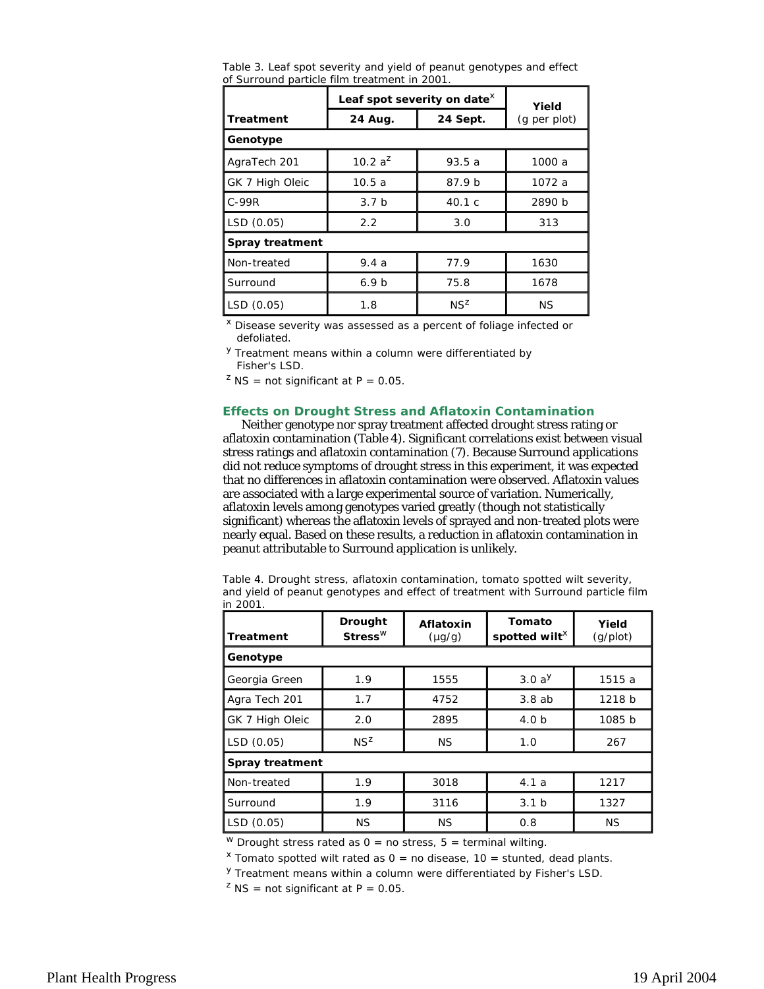Table 3. Leaf spot severity and yield of peanut genotypes and effect of Surround particle film treatment in 2001.

|                 | Leaf spot severity on date <sup>x</sup> | Yield             |              |  |  |  |
|-----------------|-----------------------------------------|-------------------|--------------|--|--|--|
| Treatment       | 24 Aug.                                 | 24 Sept.          | (g per plot) |  |  |  |
| Genotype        |                                         |                   |              |  |  |  |
| AgraTech 201    | 10.2 $a^2$                              | 93.5a             | 1000 a       |  |  |  |
| GK 7 High Oleic | 10.5a                                   | 87.9 <sub>b</sub> | 1072 a       |  |  |  |
| $C-99R$         | 3.7 <sub>b</sub>                        | 40.1c             | 2890 b       |  |  |  |
| LSD (0.05)      | 2.2                                     | 3.0               | 313          |  |  |  |
| Spray treatment |                                         |                   |              |  |  |  |
| Non-treated     | 9.4a                                    | 77.9              | 1630         |  |  |  |
| Surround        | 6.9 <sub>b</sub>                        | 75.8              | 1678         |  |  |  |
| LSD (0.05)      | 1.8                                     | $NS^Z$            | ΝS           |  |  |  |

x Disease severity was assessed as a percent of foliage infected or defoliated.

<sup>y</sup> Treatment means within a column were differentiated by Fisher's LSD.

<sup>2</sup> NS = not significant at  $P = 0.05$ .

## **Effects on Drought Stress and Aflatoxin Contamination**

Neither genotype nor spray treatment affected drought stress rating or aflatoxin contamination (Table 4). Significant correlations exist between visual stress ratings and aflatoxin contamination (7). Because Surround applications did not reduce symptoms of drought stress in this experiment, it was expected that no differences in aflatoxin contamination were observed. Aflatoxin values are associated with a large experimental source of variation. Numerically, aflatoxin levels among genotypes varied greatly (though not statistically significant) whereas the aflatoxin levels of sprayed and non-treated plots were nearly equal. Based on these results, a reduction in aflatoxin contamination in peanut attributable to Surround application is unlikely.

Table 4. Drought stress, aflatoxin contamination, tomato spotted wilt severity, and yield of peanut genotypes and effect of treatment with Surround particle film in 2001.

| Treatment       | Drought<br>$\mathsf{Stress}^{\mathsf{W}}$ | Aflatoxin<br>$(\mu q/q)$ | Tomato<br>spotted wilt <sup>X</sup> | Yield<br>(g/plot) |  |  |
|-----------------|-------------------------------------------|--------------------------|-------------------------------------|-------------------|--|--|
| Genotype        |                                           |                          |                                     |                   |  |  |
| Georgia Green   | 1.9                                       | 1555                     | 3.0a <sup>y</sup>                   | 1515 a            |  |  |
| Agra Tech 201   | 1.7                                       | 4752                     | 3.8ab                               | 1218 b            |  |  |
| GK 7 High Oleic | 2.0                                       | 2895                     | 4.0 <sub>b</sub>                    | 1085 b            |  |  |
| LSD (0.05)      | $NS^Z$                                    | <b>NS</b>                | 1.0                                 | 267               |  |  |
| Spray treatment |                                           |                          |                                     |                   |  |  |
| Non-treated     | 1.9                                       | 3018                     | 4.1a                                | 1217              |  |  |
| Surround        | 1.9                                       | 3116                     | 3.1 <sub>b</sub>                    | 1327              |  |  |
| LSD(0.05)       | <b>NS</b>                                 | <b>NS</b>                | 0.8                                 | <b>NS</b>         |  |  |

<sup>w</sup> Drought stress rated as  $0 =$  no stress,  $5 =$  terminal wilting.

 $x$  Tomato spotted wilt rated as 0 = no disease, 10 = stunted, dead plants.

y Treatment means within a column were differentiated by Fisher's LSD.

<sup>2</sup> NS = not significant at  $P = 0.05$ .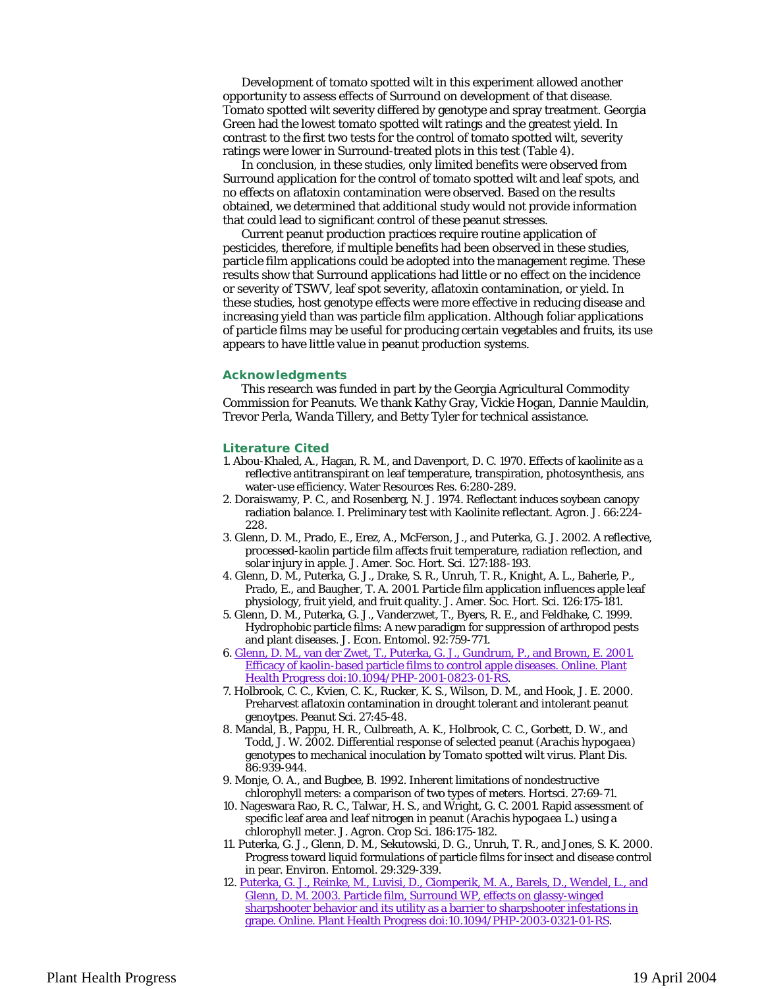Development of tomato spotted wilt in this experiment allowed another opportunity to assess effects of Surround on development of that disease. Tomato spotted wilt severity differed by genotype and spray treatment. Georgia Green had the lowest tomato spotted wilt ratings and the greatest yield. In contrast to the first two tests for the control of tomato spotted wilt, severity ratings were lower in Surround-treated plots in this test (Table 4).

In conclusion, in these studies, only limited benefits were observed from Surround application for the control of tomato spotted wilt and leaf spots, and no effects on aflatoxin contamination were observed. Based on the results obtained, we determined that additional study would not provide information that could lead to significant control of these peanut stresses.

Current peanut production practices require routine application of pesticides, therefore, if multiple benefits had been observed in these studies, particle film applications could be adopted into the management regime. These results show that Surround applications had little or no effect on the incidence or severity of TSWV, leaf spot severity, aflatoxin contamination, or yield. In these studies, host genotype effects were more effective in reducing disease and increasing yield than was particle film application. Although foliar applications of particle films may be useful for producing certain vegetables and fruits, its use appears to have little value in peanut production systems.

#### **Acknowledgments**

This research was funded in part by the Georgia Agricultural Commodity Commission for Peanuts. We thank Kathy Gray, Vickie Hogan, Dannie Mauldin, Trevor Perla, Wanda Tillery, and Betty Tyler for technical assistance.

### **Literature Cited**

- 1. Abou-Khaled, A., Hagan, R. M., and Davenport, D. C. 1970. Effects of kaolinite as a reflective antitranspirant on leaf temperature, transpiration, photosynthesis, ans water-use efficiency. Water Resources Res. 6:280-289.
- 2. Doraiswamy, P. C., and Rosenberg, N. J. 1974. Reflectant induces soybean canopy radiation balance. I. Preliminary test with Kaolinite reflectant. Agron. J. 66:224- 228.
- 3. Glenn, D. M., Prado, E., Erez, A., McFerson, J., and Puterka, G. J. 2002. A reflective, processed-kaolin particle film affects fruit temperature, radiation reflection, and solar injury in apple. J. Amer. Soc. Hort. Sci. 127:188-193.
- 4. Glenn, D. M., Puterka, G. J., Drake, S. R., Unruh, T. R., Knight, A. L., Baherle, P., Prado, E., and Baugher, T. A. 2001. Particle film application influences apple leaf physiology, fruit yield, and fruit quality. J. Amer. Soc. Hort. Sci. 126:175-181.
- 5. Glenn, D. M., Puterka, G. J., Vanderzwet, T., Byers, R. E., and Feldhake, C. 1999. Hydrophobic particle films: A new paradigm for suppression of arthropod pests and plant diseases. J. Econ. Entomol. 92:759-771.
- 6. Glenn, D. M., van der Zwet, T., Puterka, G. J., Gundrum, P., and Brown, E. 2001. Efficacy of kaolin-based particle films to control apple diseases. Online. Plant Health Progress doi:10.1094/PHP-2001-0823-01-RS.
- 7. Holbrook, C. C., Kvien, C. K., Rucker, K. S., Wilson, D. M., and Hook, J. E. 2000. Preharvest aflatoxin contamination in drought tolerant and intolerant peanut genoytpes. Peanut Sci. 27:45-48.
- 8. Mandal, B., Pappu, H. R., Culbreath, A. K., Holbrook, C. C., Gorbett, D. W., and Todd, J. W. 2002. Differential response of selected peanut (*Arachis hypogaea*) genotypes to mechanical inoculation by *Tomato spotted wilt virus*. Plant Dis. 86:939-944.
- 9. Monje, O. A., and Bugbee, B. 1992. Inherent limitations of nondestructive chlorophyll meters: a comparison of two types of meters. Hortsci. 27:69-71.
- 10. Nageswara Rao, R. C., Talwar, H. S., and Wright, G. C. 2001. Rapid assessment of specific leaf area and leaf nitrogen in peanut (*Arachis hypogaea* L.) using a chlorophyll meter. J. Agron. Crop Sci. 186:175-182.
- 11. Puterka, G. J., Glenn, D. M., Sekutowski, D. G., Unruh, T. R., and Jones, S. K. 2000. Progress toward liquid formulations of particle films for insect and disease control in pear. Environ. Entomol. 29:329-339.
- 12. Puterka, G. J., Reinke, M., Luvisi, D., Ciomperik, M. A., Barels, D., Wendel, L., and Glenn, D. M. 2003. Particle film, Surround WP, effects on glassy-winged sharpshooter behavior and its utility as a barrier to sharpshooter infestations in grape. Online. Plant Health Progress doi:10.1094/PHP-2003-0321-01-RS.